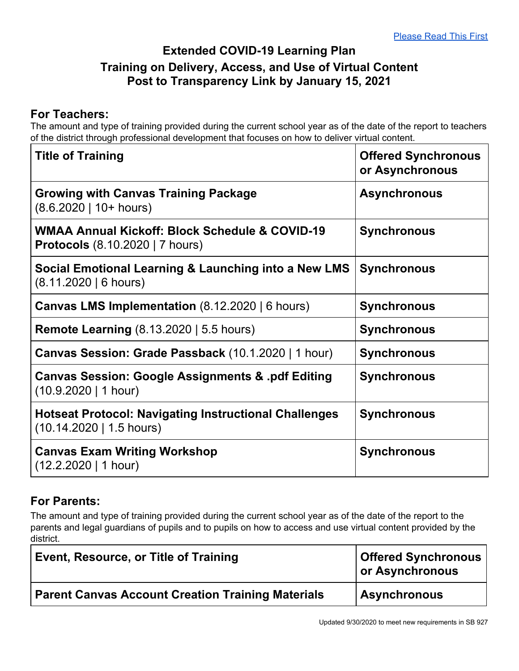## **Extended COVID-19 Learning Plan Training on Delivery, Access, and Use of Virtual Content Post to Transparency Link by January 15, 2021**

## **For Teachers:**

The amount and type of training provided during the current school year as of the date of the report to teachers of the district through professional development that focuses on how to deliver virtual content.

| <b>Title of Training</b>                                                                 | <b>Offered Synchronous</b><br>or Asynchronous |
|------------------------------------------------------------------------------------------|-----------------------------------------------|
| <b>Growing with Canvas Training Package</b><br>$(8.6.2020 \mid 10+ hours)$               | <b>Asynchronous</b>                           |
| WMAA Annual Kickoff: Block Schedule & COVID-19<br><b>Protocols</b> (8.10.2020   7 hours) | <b>Synchronous</b>                            |
| Social Emotional Learning & Launching into a New LMS<br>(8.11.2020   6 hours)            | <b>Synchronous</b>                            |
| <b>Canvas LMS Implementation</b> $(8.12.2020   6 hours)$                                 | <b>Synchronous</b>                            |
| <b>Remote Learning (8.13.2020   5.5 hours)</b>                                           | <b>Synchronous</b>                            |
| Canvas Session: Grade Passback (10.1.2020   1 hour)                                      | <b>Synchronous</b>                            |
| <b>Canvas Session: Google Assignments &amp; pdf Editing</b><br>(10.9.2020   1 hour)      | <b>Synchronous</b>                            |
| <b>Hotseat Protocol: Navigating Instructional Challenges</b><br>(10.14.2020   1.5 hours) | <b>Synchronous</b>                            |
| <b>Canvas Exam Writing Workshop</b><br>$(12.2.2020 \mid 1 \text{ hour})$                 | <b>Synchronous</b>                            |

## **For Parents:**

The amount and type of training provided during the current school year as of the date of the report to the parents and legal guardians of pupils and to pupils on how to access and use virtual content provided by the district.

| Event, Resource, or Title of Training                    | <b>Offered Synchronous</b><br>or Asynchronous |
|----------------------------------------------------------|-----------------------------------------------|
| <b>Parent Canvas Account Creation Training Materials</b> | <b>Asynchronous</b>                           |